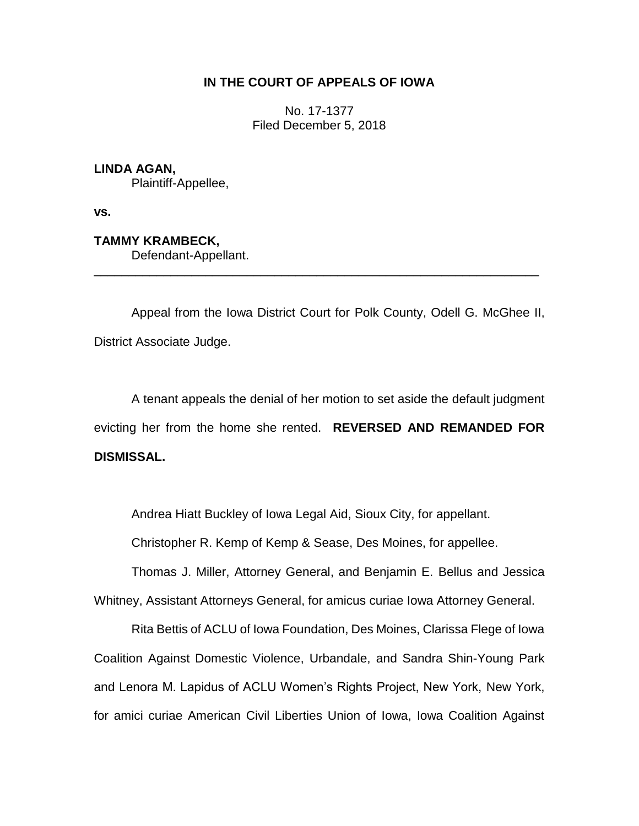# **IN THE COURT OF APPEALS OF IOWA**

No. 17-1377 Filed December 5, 2018

## **LINDA AGAN,**

Plaintiff-Appellee,

**vs.**

**TAMMY KRAMBECK,**

Defendant-Appellant.

Appeal from the Iowa District Court for Polk County, Odell G. McGhee II, District Associate Judge.

\_\_\_\_\_\_\_\_\_\_\_\_\_\_\_\_\_\_\_\_\_\_\_\_\_\_\_\_\_\_\_\_\_\_\_\_\_\_\_\_\_\_\_\_\_\_\_\_\_\_\_\_\_\_\_\_\_\_\_\_\_\_\_\_

A tenant appeals the denial of her motion to set aside the default judgment evicting her from the home she rented. **REVERSED AND REMANDED FOR DISMISSAL.**

Andrea Hiatt Buckley of Iowa Legal Aid, Sioux City, for appellant.

Christopher R. Kemp of Kemp & Sease, Des Moines, for appellee.

Thomas J. Miller, Attorney General, and Benjamin E. Bellus and Jessica Whitney, Assistant Attorneys General, for amicus curiae Iowa Attorney General.

Rita Bettis of ACLU of Iowa Foundation, Des Moines, Clarissa Flege of Iowa Coalition Against Domestic Violence, Urbandale, and Sandra Shin-Young Park and Lenora M. Lapidus of ACLU Women's Rights Project, New York, New York, for amici curiae American Civil Liberties Union of Iowa, Iowa Coalition Against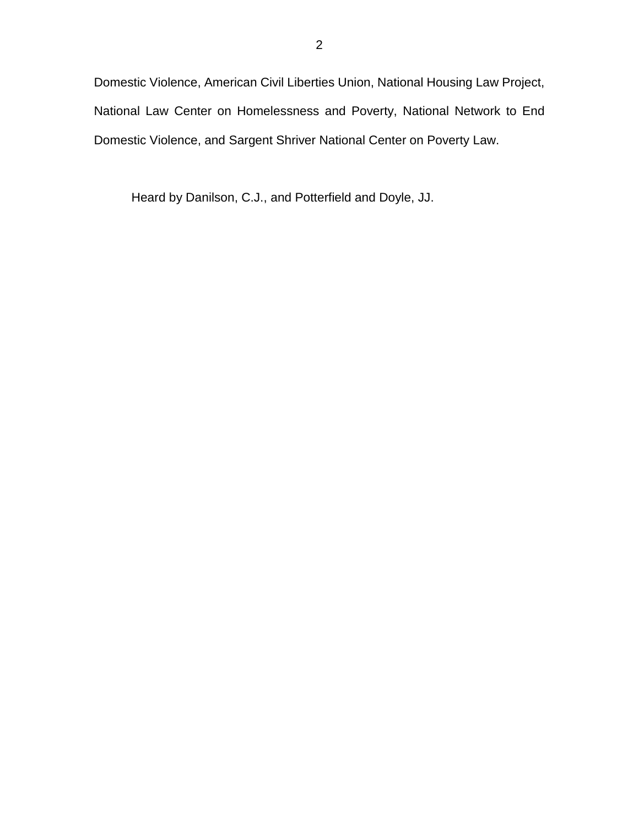Domestic Violence, American Civil Liberties Union, National Housing Law Project, National Law Center on Homelessness and Poverty, National Network to End Domestic Violence, and Sargent Shriver National Center on Poverty Law.

Heard by Danilson, C.J., and Potterfield and Doyle, JJ.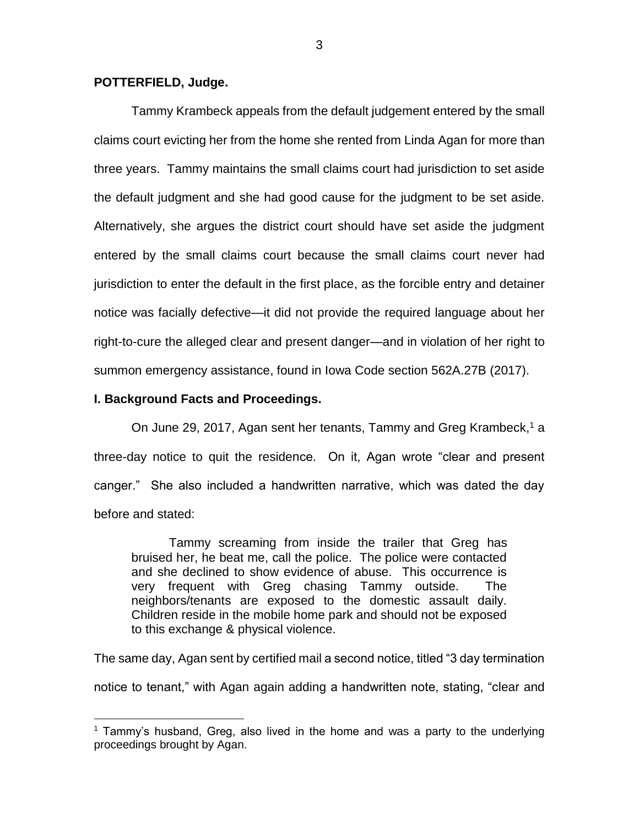### **POTTERFIELD, Judge.**

Tammy Krambeck appeals from the default judgement entered by the small claims court evicting her from the home she rented from Linda Agan for more than three years. Tammy maintains the small claims court had jurisdiction to set aside the default judgment and she had good cause for the judgment to be set aside. Alternatively, she argues the district court should have set aside the judgment entered by the small claims court because the small claims court never had jurisdiction to enter the default in the first place, as the forcible entry and detainer notice was facially defective—it did not provide the required language about her right-to-cure the alleged clear and present danger—and in violation of her right to summon emergency assistance, found in Iowa Code section 562A.27B (2017).

### **I. Background Facts and Proceedings.**

 $\overline{a}$ 

On June 29, 2017, Agan sent her tenants, Tammy and Greg Krambeck,<sup>1</sup> a three-day notice to quit the residence. On it, Agan wrote "clear and present canger." She also included a handwritten narrative, which was dated the day before and stated:

Tammy screaming from inside the trailer that Greg has bruised her, he beat me, call the police. The police were contacted and she declined to show evidence of abuse. This occurrence is very frequent with Greg chasing Tammy outside. The neighbors/tenants are exposed to the domestic assault daily. Children reside in the mobile home park and should not be exposed to this exchange & physical violence.

The same day, Agan sent by certified mail a second notice, titled "3 day termination notice to tenant," with Agan again adding a handwritten note, stating, "clear and

 $1$  Tammy's husband, Greg, also lived in the home and was a party to the underlying proceedings brought by Agan.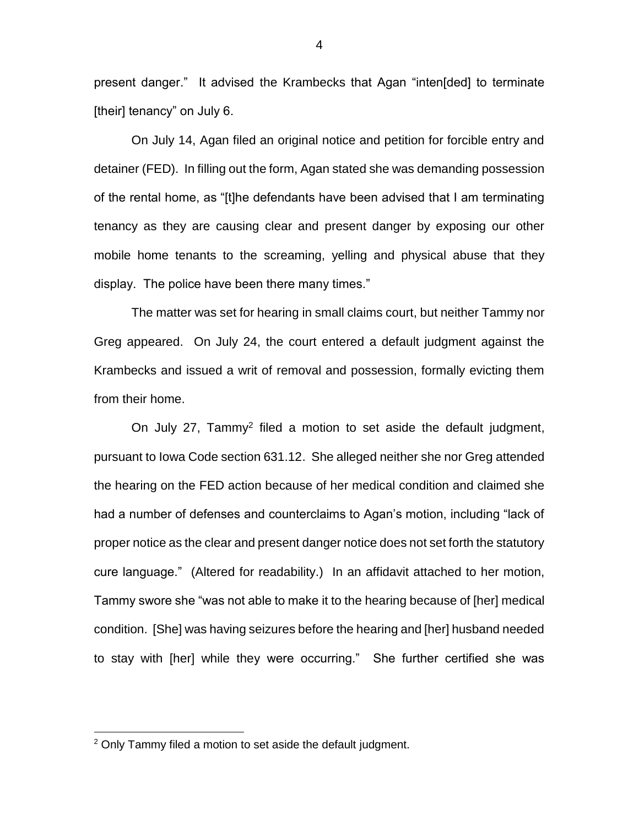present danger." It advised the Krambecks that Agan "inten[ded] to terminate [their] tenancy" on July 6.

On July 14, Agan filed an original notice and petition for forcible entry and detainer (FED). In filling out the form, Agan stated she was demanding possession of the rental home, as "[t]he defendants have been advised that I am terminating tenancy as they are causing clear and present danger by exposing our other mobile home tenants to the screaming, yelling and physical abuse that they display. The police have been there many times."

The matter was set for hearing in small claims court, but neither Tammy nor Greg appeared. On July 24, the court entered a default judgment against the Krambecks and issued a writ of removal and possession, formally evicting them from their home.

On July 27, Tammy<sup>2</sup> filed a motion to set aside the default judgment, pursuant to Iowa Code section 631.12. She alleged neither she nor Greg attended the hearing on the FED action because of her medical condition and claimed she had a number of defenses and counterclaims to Agan's motion, including "lack of proper notice as the clear and present danger notice does not set forth the statutory cure language." (Altered for readability.) In an affidavit attached to her motion, Tammy swore she "was not able to make it to the hearing because of [her] medical condition. [She] was having seizures before the hearing and [her] husband needed to stay with [her] while they were occurring." She further certified she was

 $\overline{a}$ 

 $2$  Only Tammy filed a motion to set aside the default judgment.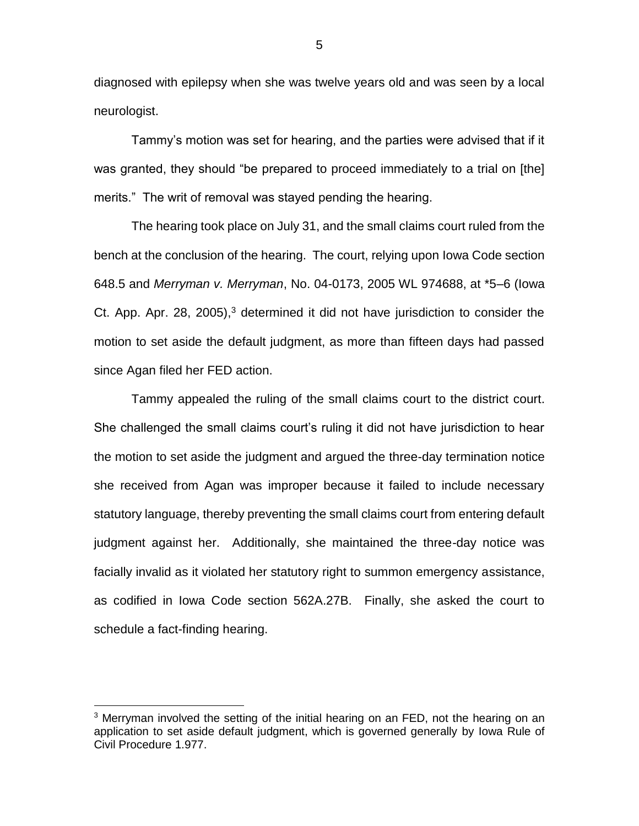diagnosed with epilepsy when she was twelve years old and was seen by a local neurologist.

Tammy's motion was set for hearing, and the parties were advised that if it was granted, they should "be prepared to proceed immediately to a trial on [the] merits." The writ of removal was stayed pending the hearing.

The hearing took place on July 31, and the small claims court ruled from the bench at the conclusion of the hearing. The court, relying upon Iowa Code section 648.5 and *Merryman v. Merryman*, No. 04-0173, 2005 WL 974688, at \*5–6 (Iowa Ct. App. Apr. 28, 2005), $3$  determined it did not have jurisdiction to consider the motion to set aside the default judgment, as more than fifteen days had passed since Agan filed her FED action.

Tammy appealed the ruling of the small claims court to the district court. She challenged the small claims court's ruling it did not have jurisdiction to hear the motion to set aside the judgment and argued the three-day termination notice she received from Agan was improper because it failed to include necessary statutory language, thereby preventing the small claims court from entering default judgment against her. Additionally, she maintained the three-day notice was facially invalid as it violated her statutory right to summon emergency assistance, as codified in Iowa Code section 562A.27B. Finally, she asked the court to schedule a fact-finding hearing.

 $\overline{a}$ 

5

<sup>&</sup>lt;sup>3</sup> Merryman involved the setting of the initial hearing on an FED, not the hearing on an application to set aside default judgment, which is governed generally by Iowa Rule of Civil Procedure 1.977.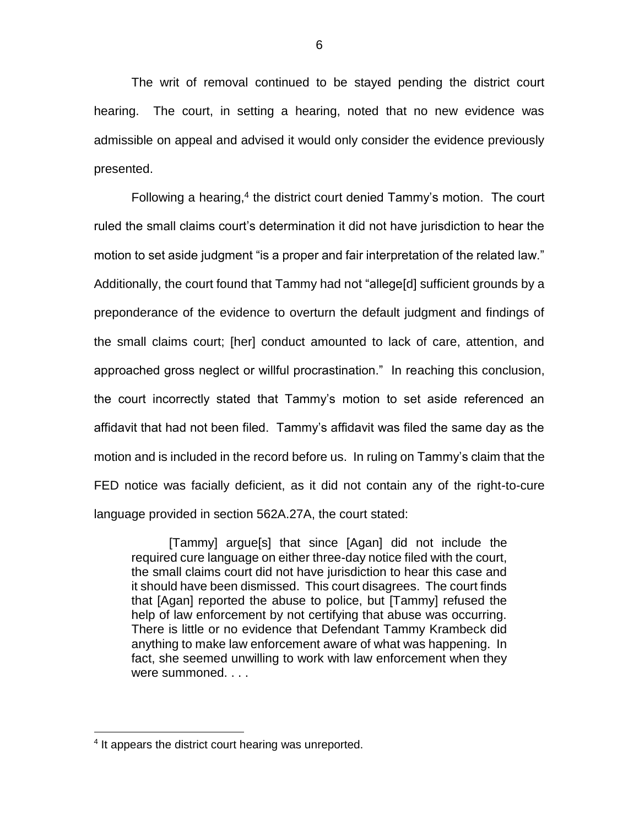The writ of removal continued to be stayed pending the district court hearing. The court, in setting a hearing, noted that no new evidence was admissible on appeal and advised it would only consider the evidence previously presented.

Following a hearing,<sup>4</sup> the district court denied Tammy's motion. The court ruled the small claims court's determination it did not have jurisdiction to hear the motion to set aside judgment "is a proper and fair interpretation of the related law." Additionally, the court found that Tammy had not "allege[d] sufficient grounds by a preponderance of the evidence to overturn the default judgment and findings of the small claims court; [her] conduct amounted to lack of care, attention, and approached gross neglect or willful procrastination." In reaching this conclusion, the court incorrectly stated that Tammy's motion to set aside referenced an affidavit that had not been filed. Tammy's affidavit was filed the same day as the motion and is included in the record before us. In ruling on Tammy's claim that the FED notice was facially deficient, as it did not contain any of the right-to-cure language provided in section 562A.27A, the court stated:

[Tammy] argue[s] that since [Agan] did not include the required cure language on either three-day notice filed with the court, the small claims court did not have jurisdiction to hear this case and it should have been dismissed. This court disagrees. The court finds that [Agan] reported the abuse to police, but [Tammy] refused the help of law enforcement by not certifying that abuse was occurring. There is little or no evidence that Defendant Tammy Krambeck did anything to make law enforcement aware of what was happening. In fact, she seemed unwilling to work with law enforcement when they were summoned. . . .

 $\overline{a}$ 

<sup>&</sup>lt;sup>4</sup> It appears the district court hearing was unreported.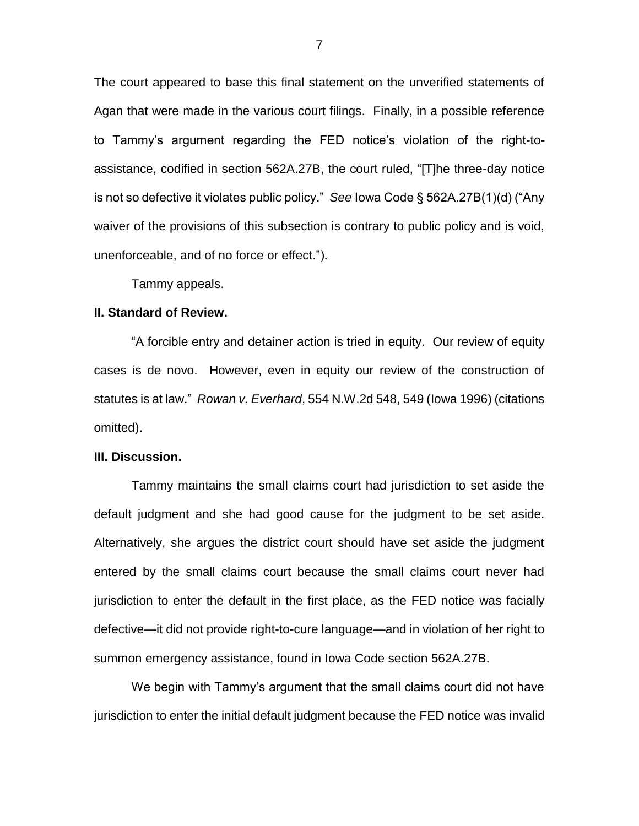The court appeared to base this final statement on the unverified statements of Agan that were made in the various court filings. Finally, in a possible reference to Tammy's argument regarding the FED notice's violation of the right-toassistance, codified in section 562A.27B, the court ruled, "[T]he three-day notice is not so defective it violates public policy." *See* Iowa Code § 562A.27B(1)(d) ("Any waiver of the provisions of this subsection is contrary to public policy and is void, unenforceable, and of no force or effect.").

Tammy appeals.

### **II. Standard of Review.**

"A forcible entry and detainer action is tried in equity. Our review of equity cases is de novo. However, even in equity our review of the construction of statutes is at law." *Rowan v. Everhard*, 554 N.W.2d 548, 549 (Iowa 1996) (citations omitted).

#### **III. Discussion.**

Tammy maintains the small claims court had jurisdiction to set aside the default judgment and she had good cause for the judgment to be set aside. Alternatively, she argues the district court should have set aside the judgment entered by the small claims court because the small claims court never had jurisdiction to enter the default in the first place, as the FED notice was facially defective—it did not provide right-to-cure language—and in violation of her right to summon emergency assistance, found in Iowa Code section 562A.27B.

We begin with Tammy's argument that the small claims court did not have jurisdiction to enter the initial default judgment because the FED notice was invalid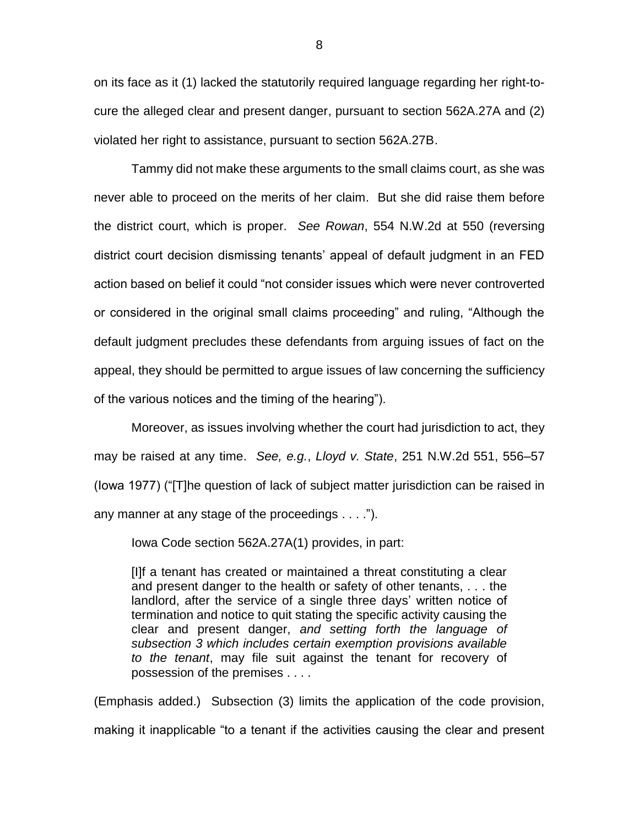on its face as it (1) lacked the statutorily required language regarding her right-tocure the alleged clear and present danger, pursuant to section 562A.27A and (2) violated her right to assistance, pursuant to section 562A.27B.

Tammy did not make these arguments to the small claims court, as she was never able to proceed on the merits of her claim. But she did raise them before the district court, which is proper. *See Rowan*, 554 N.W.2d at 550 (reversing district court decision dismissing tenants' appeal of default judgment in an FED action based on belief it could "not consider issues which were never controverted or considered in the original small claims proceeding" and ruling, "Although the default judgment precludes these defendants from arguing issues of fact on the appeal, they should be permitted to argue issues of law concerning the sufficiency of the various notices and the timing of the hearing").

Moreover, as issues involving whether the court had jurisdiction to act, they may be raised at any time. *See, e.g.*, *Lloyd v. State*, 251 N.W.2d 551, 556–57 (Iowa 1977) ("[T]he question of lack of subject matter jurisdiction can be raised in any manner at any stage of the proceedings . . . .").

Iowa Code section 562A.27A(1) provides, in part:

[I]f a tenant has created or maintained a threat constituting a clear and present danger to the health or safety of other tenants, . . . the landlord, after the service of a single three days' written notice of termination and notice to quit stating the specific activity causing the clear and present danger, *and setting forth the language of subsection 3 which includes certain exemption provisions available to the tenant*, may file suit against the tenant for recovery of possession of the premises . . . .

(Emphasis added.) Subsection (3) limits the application of the code provision, making it inapplicable "to a tenant if the activities causing the clear and present

8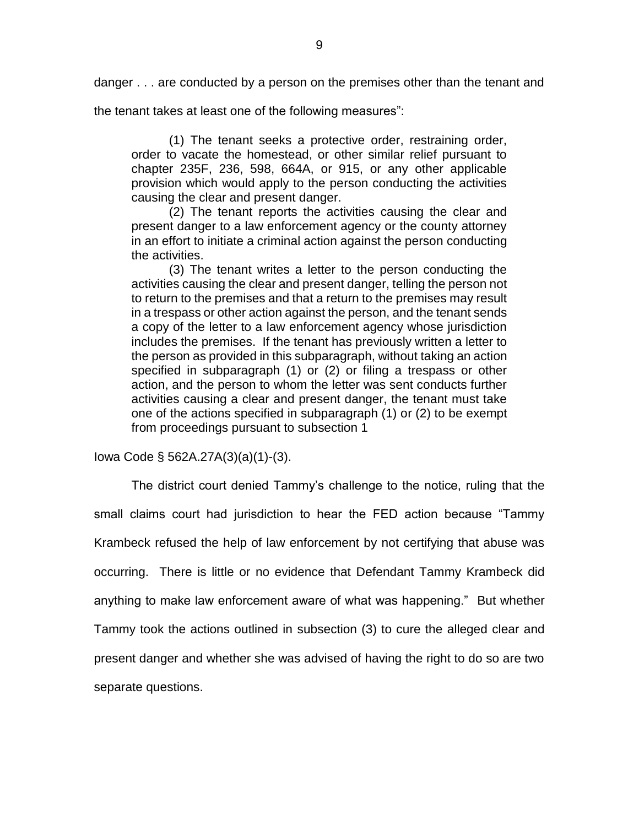danger . . . are conducted by a person on the premises other than the tenant and

the tenant takes at least one of the following measures":

(1) The tenant seeks a protective order, restraining order, order to vacate the homestead, or other similar relief pursuant to chapter 235F, 236, 598, 664A, or 915, or any other applicable provision which would apply to the person conducting the activities causing the clear and present danger.

(2) The tenant reports the activities causing the clear and present danger to a law enforcement agency or the county attorney in an effort to initiate a criminal action against the person conducting the activities.

(3) The tenant writes a letter to the person conducting the activities causing the clear and present danger, telling the person not to return to the premises and that a return to the premises may result in a trespass or other action against the person, and the tenant sends a copy of the letter to a law enforcement agency whose jurisdiction includes the premises. If the tenant has previously written a letter to the person as provided in this subparagraph, without taking an action specified in subparagraph (1) or (2) or filing a trespass or other action, and the person to whom the letter was sent conducts further activities causing a clear and present danger, the tenant must take one of the actions specified in subparagraph (1) or (2) to be exempt from proceedings pursuant to subsection 1

Iowa Code § 562A.27A(3)(a)(1)-(3).

The district court denied Tammy's challenge to the notice, ruling that the small claims court had jurisdiction to hear the FED action because "Tammy Krambeck refused the help of law enforcement by not certifying that abuse was occurring. There is little or no evidence that Defendant Tammy Krambeck did anything to make law enforcement aware of what was happening." But whether Tammy took the actions outlined in subsection (3) to cure the alleged clear and present danger and whether she was advised of having the right to do so are two separate questions.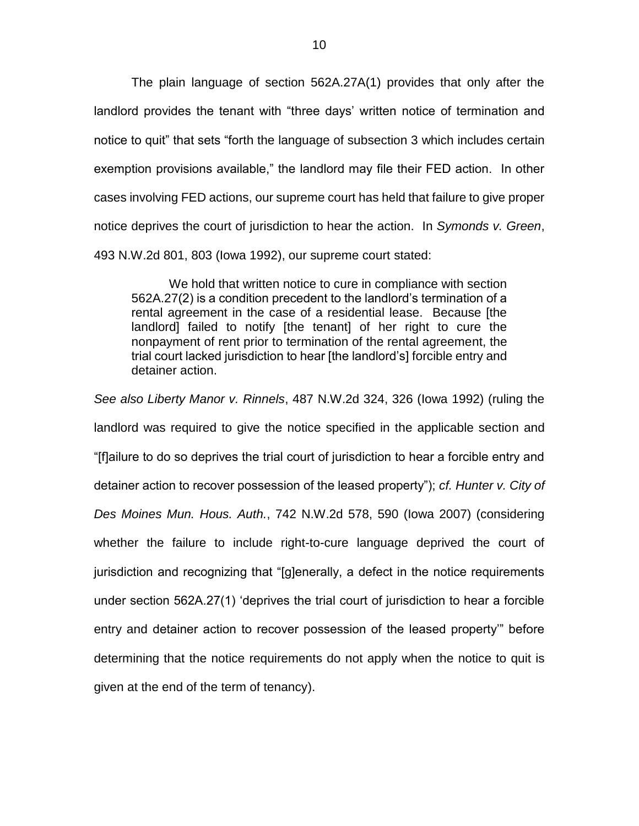The plain language of section 562A.27A(1) provides that only after the landlord provides the tenant with "three days' written notice of termination and notice to quit" that sets "forth the language of subsection 3 which includes certain exemption provisions available," the landlord may file their FED action. In other cases involving FED actions, our supreme court has held that failure to give proper notice deprives the court of jurisdiction to hear the action. In *Symonds v. Green*, 493 N.W.2d 801, 803 (Iowa 1992), our supreme court stated:

We hold that written notice to cure in compliance with section 562A.27(2) is a condition precedent to the landlord's termination of a rental agreement in the case of a residential lease. Because [the landlord] failed to notify [the tenant] of her right to cure the nonpayment of rent prior to termination of the rental agreement, the trial court lacked jurisdiction to hear [the landlord's] forcible entry and detainer action.

*See also Liberty Manor v. Rinnels*, 487 N.W.2d 324, 326 (Iowa 1992) (ruling the landlord was required to give the notice specified in the applicable section and "[f]ailure to do so deprives the trial court of jurisdiction to hear a forcible entry and detainer action to recover possession of the leased property"); *cf. Hunter v. City of Des Moines Mun. Hous. Auth.*, 742 N.W.2d 578, 590 (Iowa 2007) (considering whether the failure to include right-to-cure language deprived the court of jurisdiction and recognizing that "[g]enerally, a defect in the notice requirements under section 562A.27(1) 'deprives the trial court of jurisdiction to hear a forcible entry and detainer action to recover possession of the leased property'" before determining that the notice requirements do not apply when the notice to quit is given at the end of the term of tenancy).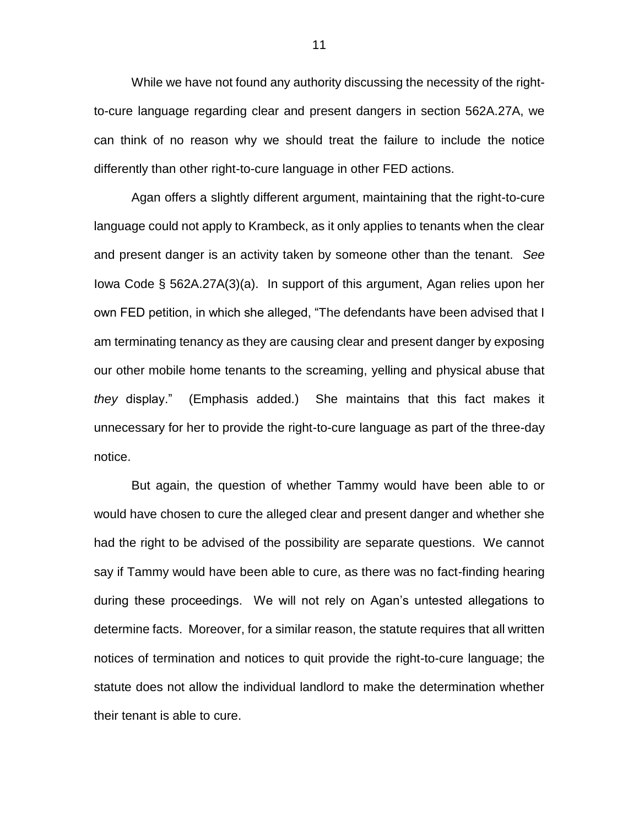While we have not found any authority discussing the necessity of the rightto-cure language regarding clear and present dangers in section 562A.27A, we can think of no reason why we should treat the failure to include the notice differently than other right-to-cure language in other FED actions.

Agan offers a slightly different argument, maintaining that the right-to-cure language could not apply to Krambeck, as it only applies to tenants when the clear and present danger is an activity taken by someone other than the tenant. *See*  Iowa Code § 562A.27A(3)(a). In support of this argument, Agan relies upon her own FED petition, in which she alleged, "The defendants have been advised that I am terminating tenancy as they are causing clear and present danger by exposing our other mobile home tenants to the screaming, yelling and physical abuse that *they* display." (Emphasis added.) She maintains that this fact makes it unnecessary for her to provide the right-to-cure language as part of the three-day notice.

But again, the question of whether Tammy would have been able to or would have chosen to cure the alleged clear and present danger and whether she had the right to be advised of the possibility are separate questions. We cannot say if Tammy would have been able to cure, as there was no fact-finding hearing during these proceedings. We will not rely on Agan's untested allegations to determine facts. Moreover, for a similar reason, the statute requires that all written notices of termination and notices to quit provide the right-to-cure language; the statute does not allow the individual landlord to make the determination whether their tenant is able to cure.